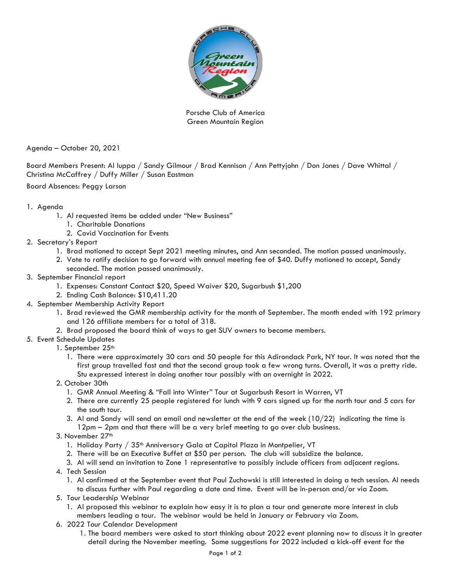

Porsche Club of America Green Mountain Region

Agenda – October 20, 2021

Board Members Present: Al Iuppa / Sandy Gilmour / Brad Kennison / Ann Pettyjohn / Don Jones / Dave Whittal / Christina McCaffrey / Duffy Miller / Susan Eastman

Board Absences: Peggy Larson

## 1. Agenda

- 1. Al requested items be added under "New Business"
	- 1. Charitable Donations
	- 2. Covid Vaccination for Events
- 2. Secretary's Report
	- 1. Brad motioned to accept Sept 2021 meeting minutes, and Ann seconded. The motion passed unanimously.
	- 2. Vote to ratify decision to go forward with annual meeting fee of \$40. Duffy motioned to accept, Sandy seconded. The motion passed unanimously.
- 3. September Financial report
	- 1. Expenses: Constant Contact \$20, Speed Waiver \$20, Sugarbush \$1,200
	- 2. Ending Cash Balance: \$10,411.20
- 4. September Membership Activity Report
	- 1. Brad reviewed the GMR membership activity for the month of September. The month ended with 192 primary and 126 affiliate members for a total of 318.
	- 2. Brad proposed the board think of ways to get SUV owners to become members.
- 5. Event Schedule Updates
	- 1. September 25<sup>th</sup>
		- 1. There were approximately 30 cars and 50 people for this Adirondack Park, NY tour. It was noted that the first group travelled fast and that the second group took a few wrong turns. Overall, it was a pretty ride. Stu expressed interest in doing another tour possibly with an overnight in 2022.
		- 2. October 30th
			- 1. GMR Annual Meeting & "Fall into Winter" Tour at Sugarbush Resort in Warren, VT
			- 2. There are currently 25 people registered for lunch with 9 cars signed up for the north tour and 5 cars for the south tour.
			- 3. Al and Sandy will send an email and newsletter at the end of the week  $(10/22)$  indicating the time is 12pm – 2pm and that there will be a very brief meeting to go over club business.
		- 3. November 27th
			- 1. Holiday Party / 35<sup>th</sup> Anniversary Gala at Capitol Plaza in Montpelier, VT
			- 2. There will be an Executive Buffet at \$50 per person. The club will subsidize the balance.
			- 3. Al will send an invitation to Zone 1 representative to possibly include officers from adjacent regions.
		- 4. Tech Session
			- 1. Al confirmed at the September event that Paul Zuchowski is still interested in doing a tech session. Al needs to discuss further with Paul regarding a date and time. Event will be in-person and/or via Zoom.
		- 5. Tour Leadership Webinar
			- 1. Al proposed this webinar to explain how easy it is to plan a tour and generate more interest in club members leading a tour. The webinar would be held in January or February via Zoom.
		- 6. 2022 Tour Calendar Development
			- 1. The board members were asked to start thinking about 2022 event planning now to discuss it in greater detail during the November meeting. Some suggestions for 2022 included a kick-off event for the